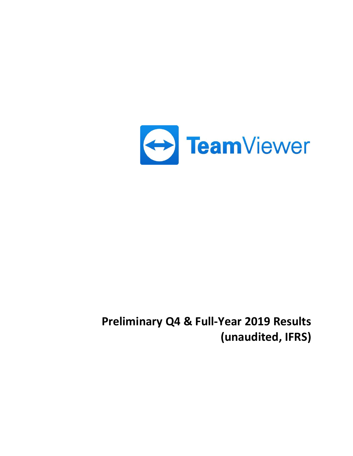

# **Preliminary Q4 & Full-Year 2019 Results (unaudited, IFRS)**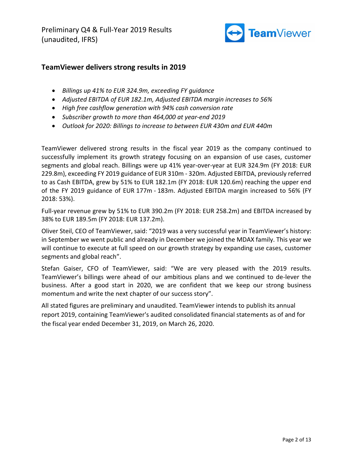Preliminary Q4 & Full-Year 2019 Results (unaudited, IFRS)



# **TeamViewer delivers strong results in 2019**

- *Billings up 41% to EUR 324.9m, exceeding FY guidance*
- *Adjusted EBITDA of EUR 182.1m, Adjusted EBITDA margin increases to 56%*
- *High free cashflow generation with 94% cash conversion rate*
- *Subscriber growth to more than 464,000 at year-end 2019*
- *Outlook for 2020: Billings to increase to between EUR 430m and EUR 440m*

TeamViewer delivered strong results in the fiscal year 2019 as the company continued to successfully implement its growth strategy focusing on an expansion of use cases, customer segments and global reach. Billings were up 41% year-over-year at EUR 324.9m (FY 2018: EUR 229.8m), exceeding FY 2019 guidance of EUR 310m - 320m. Adjusted EBITDA, previously referred to as Cash EBITDA, grew by 51% to EUR 182.1m (FY 2018: EUR 120.6m) reaching the upper end of the FY 2019 guidance of EUR 177m - 183m. Adjusted EBITDA margin increased to 56% (FY 2018: 53%).

Full-year revenue grew by 51% to EUR 390.2m (FY 2018: EUR 258.2m) and EBITDA increased by 38% to EUR 189.5m (FY 2018: EUR 137.2m).

Oliver Steil, CEO of TeamViewer, said: "2019 was a very successful year in TeamViewer's history: in September we went public and already in December we joined the MDAX family. This year we will continue to execute at full speed on our growth strategy by expanding use cases, customer segments and global reach".

Stefan Gaiser, CFO of TeamViewer, said: "We are very pleased with the 2019 results. TeamViewer's billings were ahead of our ambitious plans and we continued to de-lever the business. After a good start in 2020, we are confident that we keep our strong business momentum and write the next chapter of our success story".

All stated figures are preliminary and unaudited. TeamViewer intends to publish its annual report 2019, containing TeamViewer's audited consolidated financial statements as of and for the fiscal year ended December 31, 2019, on March 26, 2020.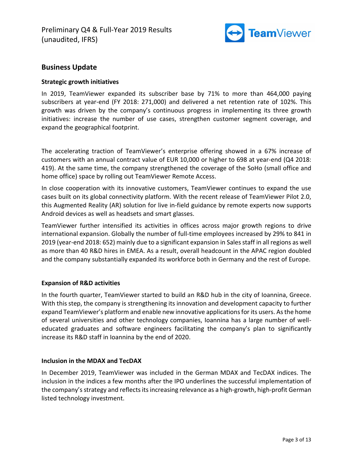

# **Business Update**

#### **Strategic growth initiatives**

In 2019, TeamViewer expanded its subscriber base by 71% to more than 464,000 paying subscribers at year-end (FY 2018: 271,000) and delivered a net retention rate of 102%. This growth was driven by the company's continuous progress in implementing its three growth initiatives: increase the number of use cases, strengthen customer segment coverage, and expand the geographical footprint.

The accelerating traction of TeamViewer's enterprise offering showed in a 67% increase of customers with an annual contract value of EUR 10,000 or higher to 698 at year-end (Q4 2018: 419). At the same time, the company strengthened the coverage of the SoHo (small office and home office) space by rolling out TeamViewer Remote Access.

In close cooperation with its innovative customers, TeamViewer continues to expand the use cases built on its global connectivity platform. With the recent release of TeamViewer Pilot 2.0, this Augmented Reality (AR) solution for live in-field guidance by remote experts now supports Android devices as well as headsets and smart glasses.

TeamViewer further intensified its activities in offices across major growth regions to drive international expansion. Globally the number of full-time employees increased by 29% to 841 in 2019 (year-end 2018: 652) mainly due to a significant expansion in Sales staff in all regions as well as more than 40 R&D hires in EMEA. As a result, overall headcount in the APAC region doubled and the company substantially expanded its workforce both in Germany and the rest of Europe.

## **Expansion of R&D activities**

In the fourth quarter, TeamViewer started to build an R&D hub in the city of Ioannina, Greece. With this step, the company is strengthening its innovation and development capacity to further expand TeamViewer's platform and enable new innovative applications for its users. As the home of several universities and other technology companies, Ioannina has a large number of welleducated graduates and software engineers facilitating the company's plan to significantly increase its R&D staff in Ioannina by the end of 2020.

## **Inclusion in the MDAX and TecDAX**

In December 2019, TeamViewer was included in the German MDAX and TecDAX indices. The inclusion in the indices a few months after the IPO underlines the successful implementation of the company's strategy and reflects its increasing relevance as a high-growth, high-profit German listed technology investment.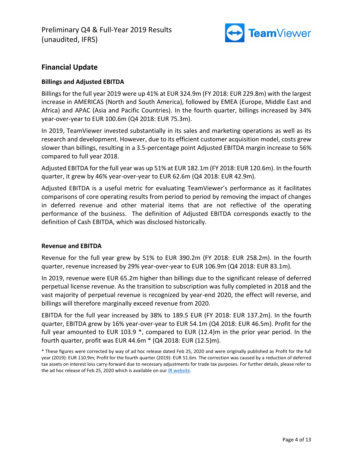

# **Financial Update**

## **Billings and Adjusted EBITDA**

Billings for the full year 2019 were up 41% at EUR 324.9m (FY 2018: EUR 229.8m) with the largest increase in AMERICAS (North and South America), followed by EMEA (Europe, Middle East and Africa) and APAC (Asia and Pacific Countries). In the fourth quarter, billings increased by 34% year-over-year to EUR 100.6m (Q4 2018: EUR 75.3m).

In 2019, TeamViewer invested substantially in its sales and marketing operations as well as its research and development. However, due to its efficient customer acquisition model, costs grew slower than billings, resulting in a 3.5-percentage point Adjusted EBITDA margin increase to 56% compared to full year 2018.

Adjusted EBITDA for the full year was up 51% at EUR 182.1m (FY 2018: EUR 120.6m). In the fourth quarter, it grew by 46% year-over-year to EUR 62.6m (Q4 2018: EUR 42.9m).

Adjusted EBITDA is a useful metric for evaluating TeamViewer's performance as it facilitates comparisons of core operating results from period to period by removing the impact of changes in deferred revenue and other material items that are not reflective of the operating performance of the business. The definition of Adjusted EBITDA corresponds exactly to the definition of Cash EBITDA, which was disclosed historically.

## **Revenue and EBITDA**

Revenue for the full year grew by 51% to EUR 390.2m (FY 2018: EUR 258.2m). In the fourth quarter, revenue increased by 29% year-over-year to EUR 106.9m (Q4 2018: EUR 83.1m).

In 2019, revenue were EUR 65.2m higher than billings due to the significant release of deferred perpetual license revenue. As the transition to subscription was fully completed in 2018 and the vast majority of perpetual revenue is recognized by year-end 2020, the effect will reverse, and billings will therefore marginally exceed revenue from 2020.

EBITDA for the full year increased by 38% to 189.5 EUR (FY 2018: EUR 137.2m). In the fourth quarter, EBITDA grew by 16% year-over-year to EUR 54.1m (Q4 2018: EUR 46.5m). Profit for the full year amounted to EUR 103.9 \*, compared to EUR (12.4)m in the prior year period. In the fourth quarter, profit was EUR 44.6m \* (Q4 2018: EUR (12.5)m).

<sup>\*</sup> These figures were corrected by way of ad hoc release dated Feb 25, 2020 and were originally published as Profit for the full year (2019): EUR 110.9m; Profit for the fourth quarter (2019): EUR 51.6m. The correction was caused by a reduction of deferred tax assets on interest loss carry-forward due to necessary adjustments for trade tax purposes. For further details, please refer to the ad hoc release of Feb 25, 2020 which is available on ou[r IR website.](https://ir.teamviewer.com/websites/teamviewer/English/1/investor-relations.html)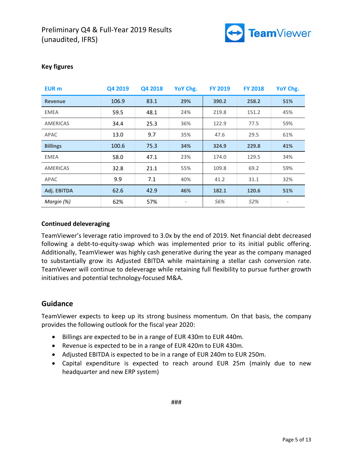

| <b>EUR</b> m    | Q4 2019 | Q4 2018 | YoY Chg.                     | <b>FY 2019</b> | <b>FY 2018</b> | YoY Chg. |
|-----------------|---------|---------|------------------------------|----------------|----------------|----------|
| <b>Revenue</b>  | 106.9   | 83.1    | 29%                          | 390.2          | 258.2          | 51%      |
| <b>EMEA</b>     | 59.5    | 48.1    | 24%                          | 219.8          | 151.2          | 45%      |
| <b>AMERICAS</b> | 34.4    | 25.3    | 36%                          | 122.9          | 77.5           | 59%      |
| APAC            | 13.0    | 9.7     | 35%                          | 47.6           | 29.5           | 61%      |
| <b>Billings</b> | 100.6   | 75.3    | 34%                          | 324.9          | 229.8          | 41%      |
| <b>EMEA</b>     | 58.0    | 47.1    | 23%                          | 174.0          | 129.5          | 34%      |
| <b>AMERICAS</b> | 32.8    | 21.1    | 55%                          | 109.8          | 69.2           | 59%      |
| APAC            | 9.9     | 7.1     | 40%                          | 41.2           | 31.1           | 32%      |
| Adj. EBITDA     | 62.6    | 42.9    | 46%                          | 182.1          | 120.6          | 51%      |
| Margin (%)      | 62%     | 57%     | $\qquad \qquad \blacksquare$ | 56%            | 52%            |          |

## **Key figures**

## **Continued deleveraging**

TeamViewer's leverage ratio improved to 3.0x by the end of 2019. Net financial debt decreased following a debt-to-equity-swap which was implemented prior to its initial public offering. Additionally, TeamViewer was highly cash generative during the year as the company managed to substantially grow its Adjusted EBITDA while maintaining a stellar cash conversion rate. TeamViewer will continue to deleverage while retaining full flexibility to pursue further growth initiatives and potential technology-focused M&A.

## **Guidance**

TeamViewer expects to keep up its strong business momentum. On that basis, the company provides the following outlook for the fiscal year 2020:

- Billings are expected to be in a range of EUR 430m to EUR 440m.
- Revenue is expected to be in a range of EUR 420m to EUR 430m.
- Adjusted EBITDA is expected to be in a range of EUR 240m to EUR 250m.
- Capital expenditure is expected to reach around EUR 25m (mainly due to new headquarter and new ERP system)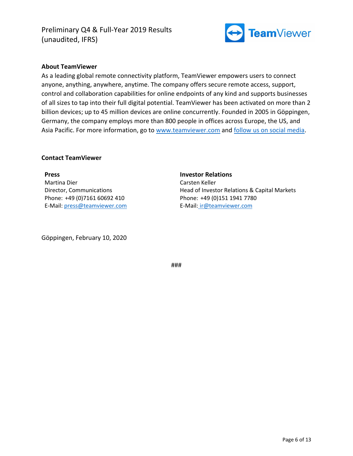Preliminary Q4 & Full-Year 2019 Results (unaudited, IFRS)



#### **About TeamViewer**

As a leading global remote connectivity platform, TeamViewer empowers users to connect anyone, anything, anywhere, anytime. The company offers secure remote access, support, control and collaboration capabilities for online endpoints of any kind and supports businesses of all sizes to tap into their full digital potential. TeamViewer has been activated on more than 2 billion devices; up to 45 million devices are online concurrently. Founded in 2005 in Göppingen, Germany, the company employs more than 800 people in offices across Europe, the US, and Asia Pacific. For more information, go to [www.teamviewer.com](https://www.teamviewer.com/) and [follow us on social media.](https://www.teamviewer.com/en/content/follow-us/)

**Investor Relations** 

Phone: +49 (0)151 1941 7780 E-Mail: [ir@teamviewer.com](mailto:ir@teamviewer.com)

Head of Investor Relations & Capital Markets

Carsten Keller

#### **Contact TeamViewer**

**Press**  Martina Dier Director, Communications Phone: +49 (0)7161 60692 410 E-Mail: [press@teamviewer.com](mailto:press@teamviewer.com)

Göppingen, February 10, 2020

###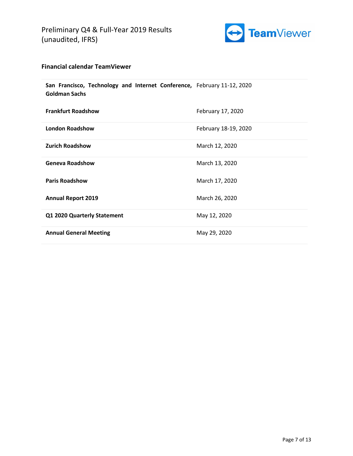

## **Financial calendar TeamViewer**

| San Francisco, Technology and Internet Conference, February 11-12, 2020<br><b>Goldman Sachs</b> |                      |
|-------------------------------------------------------------------------------------------------|----------------------|
| <b>Frankfurt Roadshow</b>                                                                       | February 17, 2020    |
| <b>London Roadshow</b>                                                                          | February 18-19, 2020 |
| <b>Zurich Roadshow</b>                                                                          | March 12, 2020       |
| <b>Geneva Roadshow</b>                                                                          | March 13, 2020       |
| <b>Paris Roadshow</b>                                                                           | March 17, 2020       |
| <b>Annual Report 2019</b>                                                                       | March 26, 2020       |
| Q1 2020 Quarterly Statement                                                                     | May 12, 2020         |
| <b>Annual General Meeting</b>                                                                   | May 29, 2020         |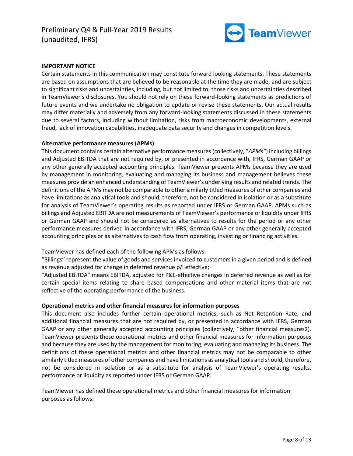

#### **IMPORTANT NOTICE**

Certain statements in this communication may constitute forward looking statements. These statements are based on assumptions that are believed to be reasonable at the time they are made, and are subject to significant risks and uncertainties, including, but not limited to, those risks and uncertainties described in TeamViewer's disclosures. You should not rely on these forward-looking statements as predictions of future events and we undertake no obligation to update or revise these statements. Our actual results may differ materially and adversely from any forward-looking statements discussed in these statements due to several factors, including without limitation, risks from macroeconomic developments, external fraud, lack of innovation capabilities, inadequate data security and changes in competition levels.

#### **Alternative performance measures (APMs)**

This document contains certain alternative performance measures (collectively, "*APMs"*) including billings and Adjusted EBITDA that are not required by, or presented in accordance with, IFRS, German GAAP or any other generally accepted accounting principles. TeamViewer presents APMs because they are used by management in monitoring, evaluating and managing its business and management believes these measures provide an enhanced understanding of TeamViewer's underlying results and related trends. The definitions of the APMs may not be comparable to other similarly titled measures of other companies and have limitations as analytical tools and should, therefore, not be considered in isolation or as a substitute for analysis of TeamViewer's operating results as reported under IFRS or German GAAP. APMs such as billings and Adjusted EBITDA are not measurements of TeamViewer's performance or liquidity under IFRS or German GAAP and should not be considered as alternatives to results for the period or any other performance measures derived in accordance with IFRS, German GAAP or any other generally accepted accounting principles or as alternatives to cash flow from operating, investing or financing activities.

TeamViewer has defined each of the following APMs as follows:

"Billings" represent the value of goods and services invoiced to customers in a given period and is defined as revenue adjusted for change in deferred revenue p/l effective;

"Adjusted EBITDA" means EBITDA, adjusted for P&L-effective changes in deferred revenue as well as for certain special items relating to share based compensations and other material items that are not reflective of the operating performance of the business.

#### **Operational metrics and other financial measures for information purposes**

This document also includes further certain operational metrics, such as Net Retention Rate, and additional financial measures that are not required by, or presented in accordance with IFRS, German GAAP or any other generally accepted accounting principles (collectively, "other financial measures2). TeamViewer presents these operational metrics and other financial measures for information purposes and because they are used by the management for monitoring, evaluating and managing its business. The definitions of these operational metrics and other financial metrics may not be comparable to other similarly titled measures of other companies and have limitations as analytical tools and should, therefore, not be considered in isolation or as a substitute for analysis of TeamViewer's operating results, performance or liquidity as reported under IFRS or German GAAP.

TeamViewer has defined these operational metrics and other financial measures for information purposes as follows: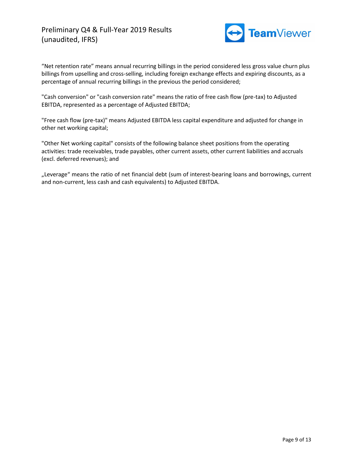

"Net retention rate" means annual recurring billings in the period considered less gross value churn plus billings from upselling and cross-selling, including foreign exchange effects and expiring discounts, as a percentage of annual recurring billings in the previous the period considered;

"Cash conversion" or "cash conversion rate" means the ratio of free cash flow (pre-tax) to Adjusted EBITDA, represented as a percentage of Adjusted EBITDA;

"Free cash flow (pre-tax)" means Adjusted EBITDA less capital expenditure and adjusted for change in other net working capital;

"Other Net working capital" consists of the following balance sheet positions from the operating activities: trade receivables, trade payables, other current assets, other current liabilities and accruals (excl. deferred revenues); and

"Leverage" means the ratio of net financial debt (sum of interest-bearing loans and borrowings, current and non-current, less cash and cash equivalents) to Adjusted EBITDA.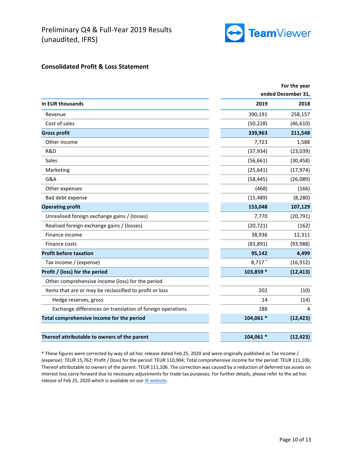

## **Consolidated Profit & Loss Statement**

|                                                           |           | For the year       |
|-----------------------------------------------------------|-----------|--------------------|
|                                                           |           | ended December 31, |
| in EUR thousands                                          | 2019      | 2018               |
| Revenue                                                   | 390,191   | 258,157            |
| Cost of sales                                             | (50, 228) | (46, 610)          |
| <b>Gross profit</b>                                       | 339,963   | 211,548            |
| Other income                                              | 7,723     | 1,588              |
| R&D                                                       | (37, 934) | (23,039)           |
| Sales                                                     | (56, 661) | (30, 458)          |
| Marketing                                                 | (25, 641) | (17, 974)          |
| G&A                                                       | (58, 445) | (26,089)           |
| Other expenses                                            | (468)     | (166)              |
| Bad debt expense                                          | (15, 489) | (8, 280)           |
| <b>Operating profit</b>                                   | 153,048   | 107,129            |
| Unrealised foreign exchange gains / (losses)              | 7,770     | (20, 791)          |
| Realised foreign exchange gains / (losses)                | (20, 721) | (162)              |
| Finance income                                            | 38,936    | 12,311             |
| Finance costs                                             | (83, 891) | (93, 988)          |
| <b>Profit before taxation</b>                             | 95,142    | 4,499              |
| Tax income / (expense)                                    | 8,717 *   | (16, 912)          |
| Profit / (loss) for the period                            | 103,859 * | (12, 413)          |
| Other comprehensive income (loss) for the period          |           |                    |
| Items that are or may be reclassified to profit or loss   | 202       | (10)               |
| Hedge reserves, gross                                     | 14        | (14)               |
| Exchange differences on translation of foreign operations | 188       | 4                  |
| Total comprehensive income for the period                 | 104,061 * | (12, 423)          |
|                                                           |           |                    |
| Thereof attributable to owners of the parent              | 104,061 * | (12, 423)          |

\* These figures were corrected by way of ad hoc release dated Feb 25, 2020 and were originally published as Tax income / (expense): TEUR 15,762; Profit / (loss) for the period: TEUR 110,904; Total comprehensive income for the period: TEUR 111,106; Thereof attributable to owners of the parent: TEUR 111,106. The correction was caused by a reduction of deferred tax assets on interest loss carry-forward due to necessary adjustments for trade tax purposes. For further details, please refer to the ad hoc release of Feb 25, 2020 which is available on ou[r IR website.](https://ir.teamviewer.com/websites/teamviewer/English/1/investor-relations.html)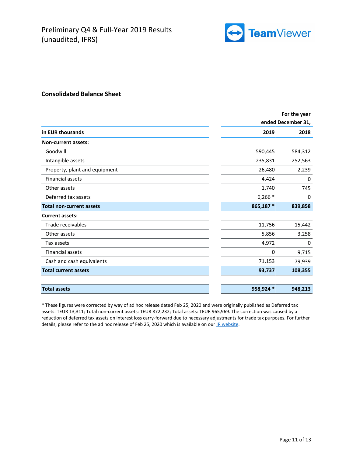

#### **Consolidated Balance Sheet**

|                                 | For the year |                    |  |
|---------------------------------|--------------|--------------------|--|
|                                 |              | ended December 31, |  |
| in EUR thousands                | 2019         | 2018               |  |
| <b>Non-current assets:</b>      |              |                    |  |
| Goodwill                        | 590,445      | 584,312            |  |
| Intangible assets               | 235,831      | 252,563            |  |
| Property, plant and equipment   | 26,480       | 2,239              |  |
| <b>Financial assets</b>         | 4,424        | 0                  |  |
| Other assets                    | 1,740        | 745                |  |
| Deferred tax assets             | $6,266*$     | 0                  |  |
| <b>Total non-current assets</b> | 865,187 *    | 839,858            |  |
| <b>Current assets:</b>          |              |                    |  |
| Trade receivables               | 11,756       | 15,442             |  |
| Other assets                    | 5,856        | 3,258              |  |
| Tax assets                      | 4,972        | 0                  |  |
| <b>Financial assets</b>         | 0            | 9,715              |  |
| Cash and cash equivalents       | 71,153       | 79,939             |  |
| <b>Total current assets</b>     | 93,737       | 108,355            |  |
| <b>Total assets</b>             | 958,924 *    | 948,213            |  |

\* These figures were corrected by way of ad hoc release dated Feb 25, 2020 and were originally published as Deferred tax assets: TEUR 13,311; Total non-current assets: TEUR 872,232; Total assets: TEUR 965,969. The correction was caused by a reduction of deferred tax assets on interest loss carry-forward due to necessary adjustments for trade tax purposes. For further details, please refer to the ad hoc release of Feb 25, 2020 which is available on ou[r IR website.](https://ir.teamviewer.com/websites/teamviewer/English/1/investor-relations.html)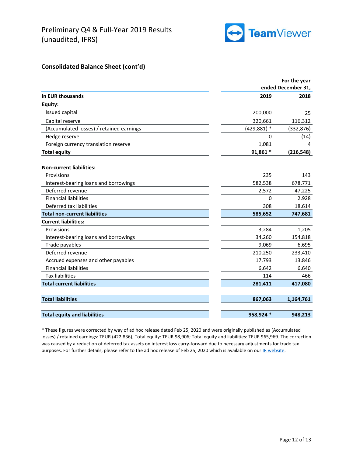

## **Consolidated Balance Sheet (cont'd)**

|                                          |                | For the year       |
|------------------------------------------|----------------|--------------------|
|                                          |                | ended December 31, |
| in EUR thousands                         | 2019           | 2018               |
| Equity:                                  |                |                    |
| Issued capital                           | 200,000        | 25                 |
| Capital reserve                          | 320,661        | 116,312            |
| (Accumulated losses) / retained earnings | $(429, 881)$ * | (332, 876)         |
| Hedge reserve                            | 0              | (14)               |
| Foreign currency translation reserve     | 1,081          | 4                  |
| <b>Total equity</b>                      | 91,861 *       | (216, 548)         |
| <b>Non-current liabilities:</b>          |                |                    |
| Provisions                               | 235            | 143                |
| Interest-bearing loans and borrowings    | 582,538        | 678,771            |
| Deferred revenue                         | 2,572          | 47,225             |
| <b>Financial liabilities</b>             | $\Omega$       | 2,928              |
| Deferred tax liabilities                 | 308            | 18,614             |
| <b>Total non-current liabilities</b>     | 585,652        | 747,681            |
| <b>Current liabilities:</b>              |                |                    |
| Provisions                               | 3,284          | 1,205              |
| Interest-bearing loans and borrowings    | 34,260         | 154,818            |
| Trade payables                           | 9,069          | 6,695              |
| Deferred revenue                         | 210,250        | 233,410            |
| Accrued expenses and other payables      | 17,793         | 13,846             |
| <b>Financial liabilities</b>             | 6,642          | 6,640              |
| <b>Tax liabilities</b>                   | 114            | 466                |
| <b>Total current liabilities</b>         | 281,411        | 417,080            |
| <b>Total liabilities</b>                 | 867,063        | 1,164,761          |
| <b>Total equity and liabilities</b>      | 958,924 *      | 948,213            |

\* These figures were corrected by way of ad hoc release dated Feb 25, 2020 and were originally published as (Accumulated losses) / retained earnings: TEUR (422,836); Total equity: TEUR 98,906; Total equity and liabilities: TEUR 965,969. The correction was caused by a reduction of deferred tax assets on interest loss carry-forward due to necessary adjustments for trade tax purposes. For further details, please refer to the ad hoc release of Feb 25, 2020 which is available on ou[r IR website.](https://ir.teamviewer.com/websites/teamviewer/English/1/investor-relations.html)